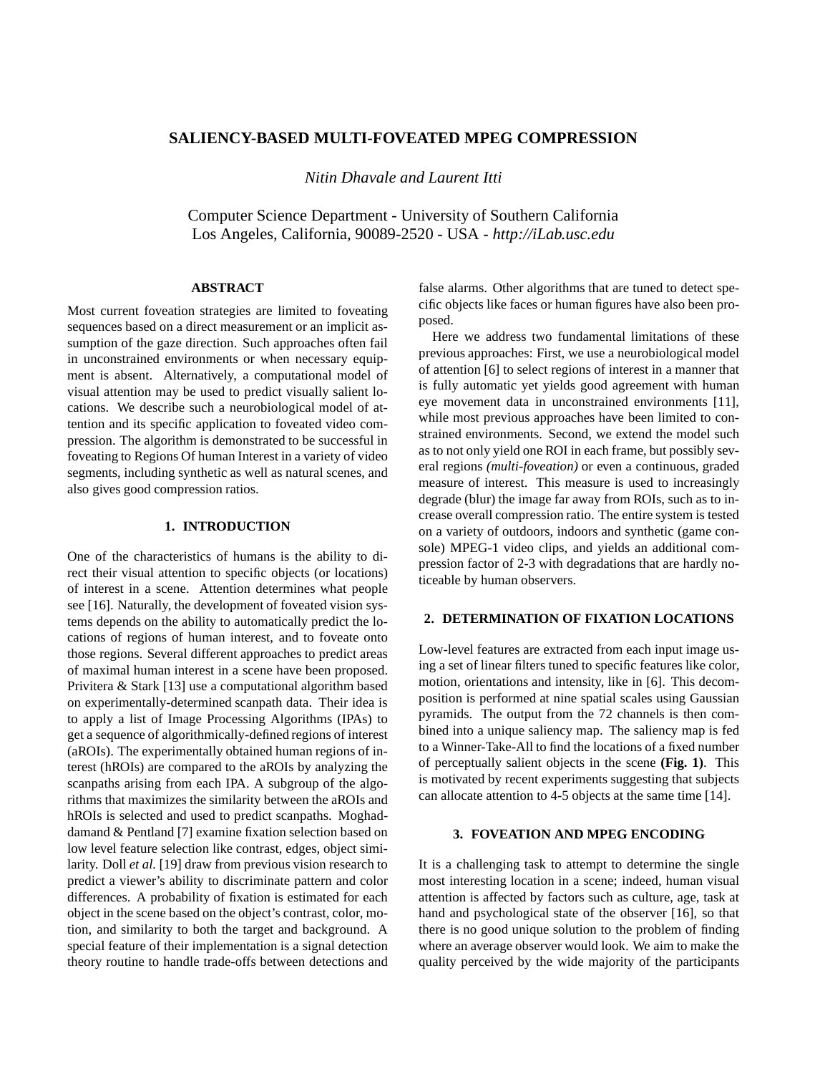# **SALIENCY-BASED MULTI-FOVEATED MPEG COMPRESSION**

*Nitin Dhavale and Laurent Itti*

Computer Science Department - University of Southern California Los Angeles, California, 90089-2520 - USA - *http://iLab.usc.edu*

## **ABSTRACT**

Most current foveation strategies are limited to foveating sequences based on a direct measurement or an implicit assumption of the gaze direction. Such approaches often fail in unconstrained environments or when necessary equipment is absent. Alternatively, a computational model of visual attention may be used to predict visually salient locations. We describe such a neurobiological model of attention and its specific application to foveated video compression. The algorithm is demonstrated to be successful in foveating to Regions Of human Interest in a variety of video segments, including synthetic as well as natural scenes, and also gives good compression ratios.

## **1. INTRODUCTION**

One of the characteristics of humans is the ability to direct their visual attention to specific objects (or locations) of interest in a scene. Attention determines what people see [16]. Naturally, the development of foveated vision systems depends on the ability to automatically predict the locations of regions of human interest, and to foveate onto those regions. Several different approaches to predict areas of maximal human interest in a scene have been proposed. Privitera & Stark [13] use a computational algorithm based on experimentally-determined scanpath data. Their idea is to apply a list of Image Processing Algorithms (IPAs) to get a sequence of algorithmically-defined regions of interest (aROIs). The experimentally obtained human regions of interest (hROIs) are compared to the aROIs by analyzing the scanpaths arising from each IPA. A subgroup of the algorithms that maximizes the similarity between the aROIs and hROIs is selected and used to predict scanpaths. Moghaddamand & Pentland [7] examine fixation selection based on low level feature selection like contrast, edges, object similarity. Doll *et al.* [19] draw from previous vision research to predict a viewer's ability to discriminate pattern and color differences. A probability of fixation is estimated for each object in the scene based on the object's contrast, color, motion, and similarity to both the target and background. A special feature of their implementation is a signal detection theory routine to handle trade-offs between detections and

false alarms. Other algorithms that are tuned to detect specific objects like faces or human figures have also been proposed.

Here we address two fundamental limitations of these previous approaches: First, we use a neurobiological model of attention [6] to select regions of interest in a manner that is fully automatic yet yields good agreement with human eye movement data in unconstrained environments [11], while most previous approaches have been limited to constrained environments. Second, we extend the model such as to not only yield one ROI in each frame, but possibly several regions *(multi-foveation)* or even a continuous, graded measure of interest. This measure is used to increasingly degrade (blur) the image far away from ROIs, such as to increase overall compression ratio. The entire system is tested on a variety of outdoors, indoors and synthetic (game console) MPEG-1 video clips, and yields an additional compression factor of 2-3 with degradations that are hardly noticeable by human observers.

## **2. DETERMINATION OF FIXATION LOCATIONS**

Low-level features are extracted from each input image using a set of linear filters tuned to specific features like color, motion, orientations and intensity, like in [6]. This decomposition is performed at nine spatial scales using Gaussian pyramids. The output from the 72 channels is then combined into a unique saliency map. The saliency map is fed to a Winner-Take-All to find the locations of a fixed number of perceptually salient objects in the scene **(Fig. 1)**. This is motivated by recent experiments suggesting that subjects can allocate attention to 4-5 objects at the same time [14].

## **3. FOVEATION AND MPEG ENCODING**

It is a challenging task to attempt to determine the single most interesting location in a scene; indeed, human visual attention is affected by factors such as culture, age, task at hand and psychological state of the observer [16], so that there is no good unique solution to the problem of finding where an average observer would look. We aim to make the quality perceived by the wide majority of the participants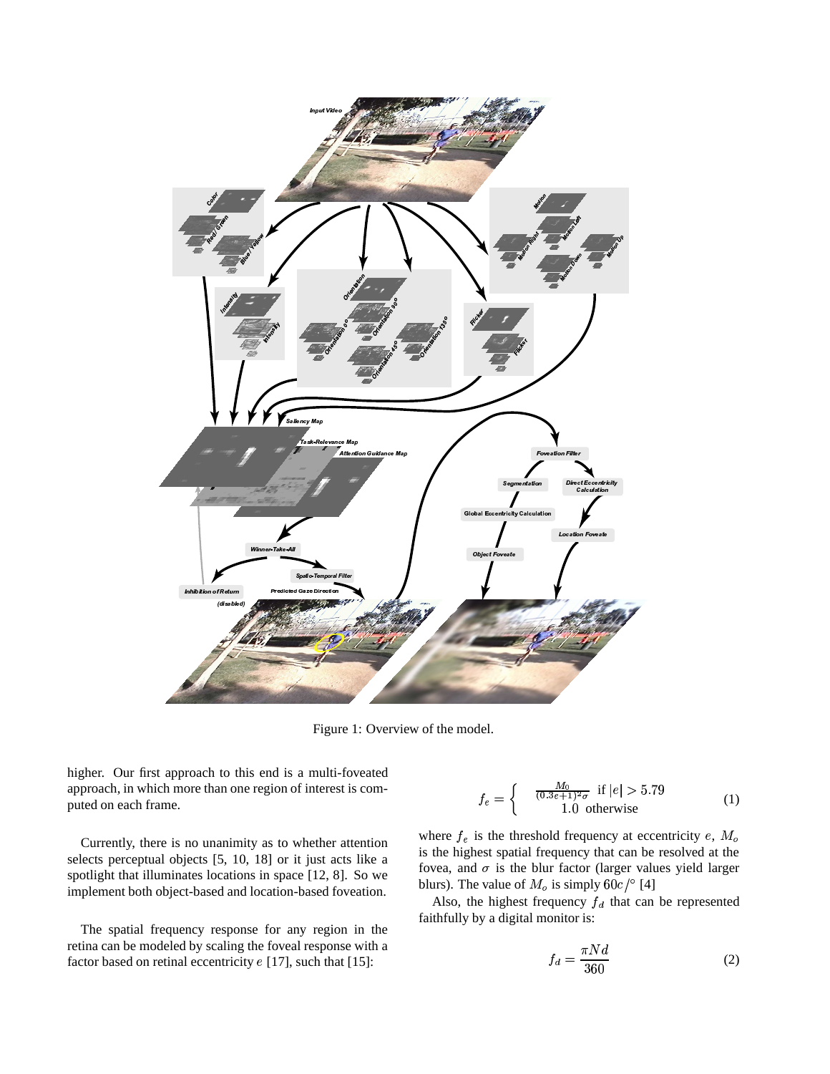

Figure 1: Overview of the model.

higher. Our first approach to this end is a multi-foveated approach, in which more than one region of interest is computed on each frame.

Currently, there is no unanimity as to whether attention selects perceptual objects [5, 10, 18] or it just acts like a spotlight that illuminates locations in space [12, 8]. So we implement both object-based and location-based foveation.

The spatial frequency response for any region in the retina can be modeled by scaling the foveal response with a factor based on retinal eccentricity  $e$  [17], such that [15]:

$$
f_e = \begin{cases} \frac{M_0}{(0.3e+1)^2 \sigma} & \text{if } |e| > 5.79\\ 1.0 & \text{otherwise} \end{cases}
$$
 (1)

where  $f_e$  is the threshold frequency at eccentricity  $e$ ,  $M_o$ is the highest spatial frequency that can be resolved at the fovea, and  $\sigma$  is the blur factor (larger values yield larger blurs). The value of  $M_o$  is simply  $60c$  /° [4]

Also, the highest frequency  $f_d$  that can be represented faithfully by a digital monitor is:

$$
f_d = \frac{\pi N d}{360} \tag{2}
$$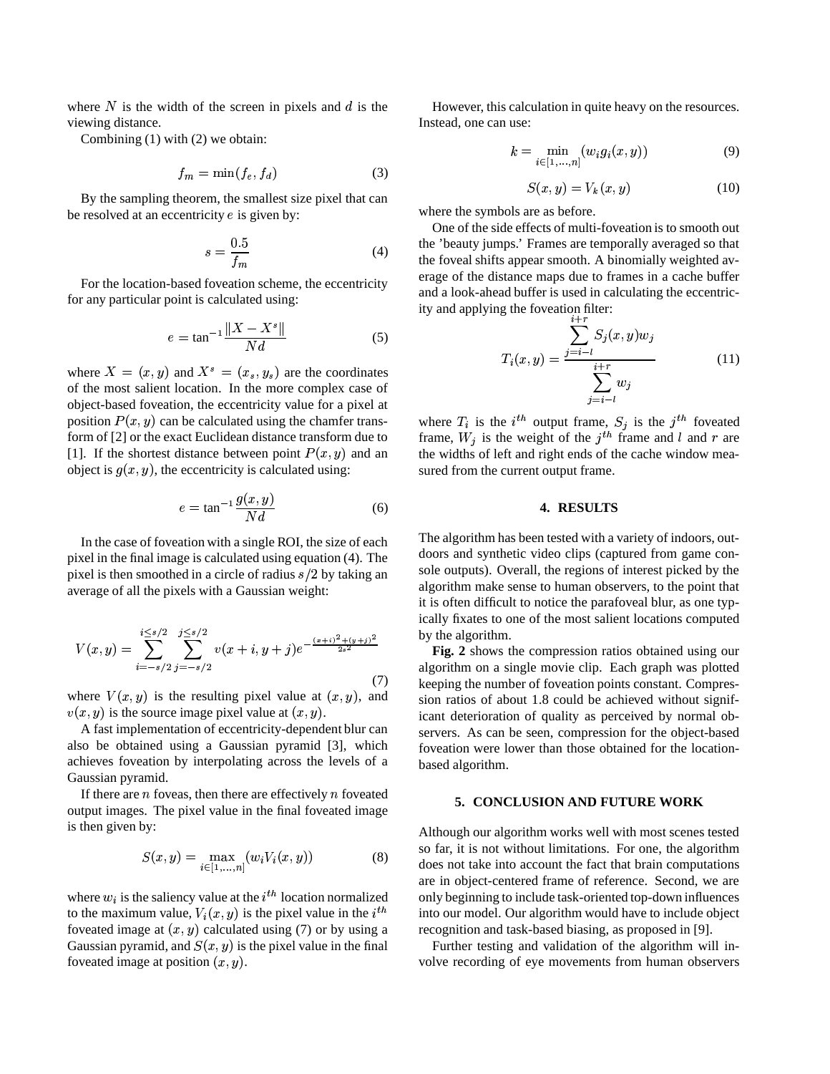where  $N$  is the width of the screen in pixels and  $d$  is the viewing distance.

Combining (1) with (2) we obtain:

$$
f_m = \min(f_e, f_d) \tag{3}
$$

By the sampling theorem, the smallest size pixel that can be resolved at an eccentricity  $e$  is given by:

$$
s = \frac{0.5}{f_m} \tag{4}
$$

For the location-based foveation scheme, the eccentricity for any particular point is calculated using:

$$
e = \tan^{-1} \frac{\|X - X^s\|}{Nd} \tag{5}
$$

where  $X = (x, y)$  and  $X^s = (x_s, y_s)$  are the coordinates of the most salient location. In the more complex case of object-based foveation, the eccentricity value for a pixel at position  $P(x, y)$  can be calculated using the chamfer transform of [2] or the exact Euclidean distance transform due to [1]. If the shortest distance between point  $P(x, y)$  and an object is  $g(x, y)$ , the eccentricity is calculated using:

$$
e = \tan^{-1} \frac{g(x, y)}{Nd}
$$
 (6)

In the case of foveation with a single ROI, the size of each pixel in the final image is calculated using equation (4). The pixel is then smoothed in a circle of radius  $s/2$  by taking an average of all the pixels with a Gaussian weight:

$$
V(x,y) = \sum_{i=-s/2}^{i \le s/2} \sum_{j=-s/2}^{j \le s/2} v(x+i, y+j)e^{-\frac{(x+i)^2 + (y+j)^2}{2s^2}}
$$
(7)

where  $V(x, y)$  is the resulting pixel value at  $(x, y)$ , and  $(x, y)$  is the source image pixel value at  $(x, y)$ .

 A fast implementation of eccentricity-dependent blur can also be obtained using a Gaussian pyramid [3], which achieves foveation by interpolating across the levels of a Gaussian pyramid.

If there are  $n$  foveas, then there are effectively  $n$  foveated output images. The pixel value in the final foveated image is then given by:

$$
S(x, y) = \max_{i \in [1, ..., n]} (w_i V_i(x, y))
$$
 (8)

where  $w_i$  is the saliency value at the  $i<sup>th</sup>$  location normalized to the maximum value,  $V_i(x, y)$  is the pixel value in the  $i^{th}$  int foveated image at  $(x, y)$  calculated using (7) or by using a foveated image at  $(x, y)$  calculated us<br>Gaussian pyramid, and  $S(x, y)$  is the p  $(x, y)$  is the pixel value in the final foveated image at position  $(x, y)$ .

However, this calculation in quite heavy on the resources. Instead, one can use:

$$
k = \min_{i \in [1, ..., n]} (w_i g_i(x, y))
$$
 (9)

$$
S(x, y) = V_k(x, y)
$$
\n
$$
(10)
$$

where the symbols are as before.

One of the side effects of multi-foveation is to smooth out the 'beauty jumps.' Frames are temporally averaged so that the foveal shifts appear smooth. A binomially weighted average of the distance maps due to frames in a cache buffer and a look-ahead buffer is used in calculating the eccentricity and applying the foveation filter:<br> $\sum_{i=r}^{i+r}$ 

ng the Ioveation inter:  
\n
$$
T_i(x, y) = \frac{\sum_{j=i-l}^{i+r} S_j(x, y) w_j}{\sum_{j=i-l}^{i+r} w_j}
$$
\n(11)

 $j=i-l$ <br>where  $T_i$  is the  $i^{th}$  output frame,  $S_j$  is the  $j^{th}$  foveated frame,  $W_j$  is the weight of the  $j<sup>th</sup>$  frame and l and r are the widths of left and right ends of the cache window measured from the current output frame.

#### **4. RESULTS**

The algorithm has been tested with a variety of indoors, outdoors and synthetic video clips (captured from game console outputs). Overall, the regions of interest picked by the algorithm make sense to human observers, to the point that it is often difficult to notice the parafoveal blur, as one typically fixates to one of the most salient locations computed by the algorithm.

**Fig. 2** shows the compression ratios obtained using our algorithm on a single movie clip. Each graph was plotted keeping the number of foveation points constant. Compression ratios of about 1.8 could be achieved without significant deterioration of quality as perceived by normal observers. As can be seen, compression for the object-based foveation were lower than those obtained for the locationbased algorithm.

#### **5. CONCLUSION AND FUTURE WORK**

Although our algorithm works well with most scenes tested so far, it is not without limitations. For one, the algorithm does not take into account the fact that brain computations are in object-centered frame of reference. Second, we are only beginning to include task-oriented top-down influences into our model. Our algorithm would have to include object recognition and task-based biasing, as proposed in [9].

Further testing and validation of the algorithm will involve recording of eye movements from human observers